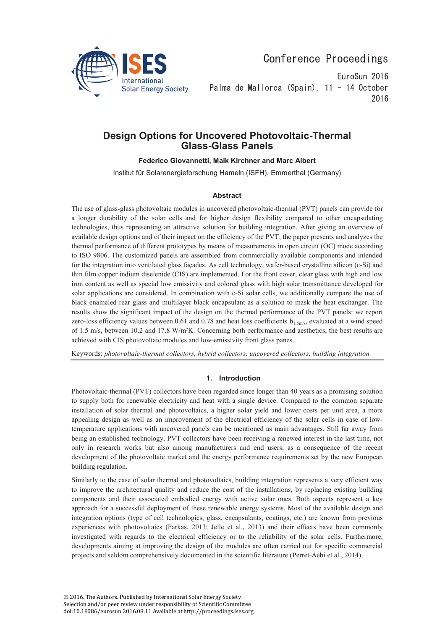

Conference Proceedings

EuroSun 2016 Palma de Mallorca (Spain). 11 - 14 October 2016

# **Design Options for Uncovered Photovoltaic-Thermal Glass-Glass Panels**

**Federico Giovannetti, Maik Kirchner and Marc Albert** 

Institut für Solarenergieforschung Hameln (ISFH), Emmerthal (Germany)

# **Abstract**

The use of glass-glass photovoltaic modules in uncovered photovoltaic-thermal (PVT) panels can provide for a longer durability of the solar cells and for higher design flexibility compared to other encapsulating technologies, thus representing an attractive solution for building integration. After giving an overview of available design options and of their impact on the efficiency of the PVT, the paper presents and analyzes the thermal performance of different prototypes by means of measurements in open circuit (OC) mode according to ISO 9806. The customized panels are assembled from commercially available components and intended for the integration into ventilated glass façades. As cell technology, wafer-based crystalline silicon (c-Si) and thin film copper indium diselenide (CIS) are implemented. For the front cover, clear glass with high and low iron content as well as special low emissivity and colored glass with high solar transmittance developed for solar applications are considered. In combination with c-Si solar cells, we additionally compare the use of black enameled rear glass and multilayer black encapsulant as a solution to mask the heat exchanger. The results show the significant impact of the design on the thermal performance of the PVT panels: we report zero-loss efficiency values between 0.61 and 0.78 and heat loss coefficients  $b_1$ <sub>5m/s</sub>, evaluated at a wind speed of 1.5 m/s, between 10.2 and 17.8 W/m²K. Concerning both performance and aesthetics, the best results are achieved with CIS photovoltaic modules and low-emissivity front glass panes.

Keywords: *photovoltaic-thermal collectors, hybrid collectors, uncovered collectors, building integration* 

# **1. Introduction**

Photovoltaic-thermal (PVT) collectors have been regarded since longer than 40 years as a promising solution to supply both for renewable electricity and heat with a single device. Compared to the common separate installation of solar thermal and photovoltaics, a higher solar yield and lower costs per unit area, a more appealing design as well as an improvement of the electrical efficiency of the solar cells in case of lowtemperature applications with uncovered panels can be mentioned as main advantages. Still far away from being an established technology, PVT collectors have been receiving a renewed interest in the last time, not only in research works but also among manufacturers and end users, as a consequence of the recent development of the photovoltaic market and the energy performance requirements set by the new European building regulation.

Similarly to the case of solar thermal and photovoltaics, building integration represents a very efficient way to improve the architectural quality and reduce the cost of the installations, by replacing existing building components and their associated embodied energy with active solar ones. Both aspects represent a key approach for a successful deployment of these renewable energy systems. Most of the available design and integration options (type of cell technologies, glass, encapsulants, coatings, etc.) are known from previous experiences with photovoltaics (Farkas, 2013; Jelle et al., 2013) and their effects have been commonly investigated with regards to the electrical efficiency or to the reliability of the solar cells. Furthermore, developments aiming at improving the design of the modules are often carried out for specific commercial projects and seldom comprehensively documented in the scientific literature (Perret-Aebi et al., 2014).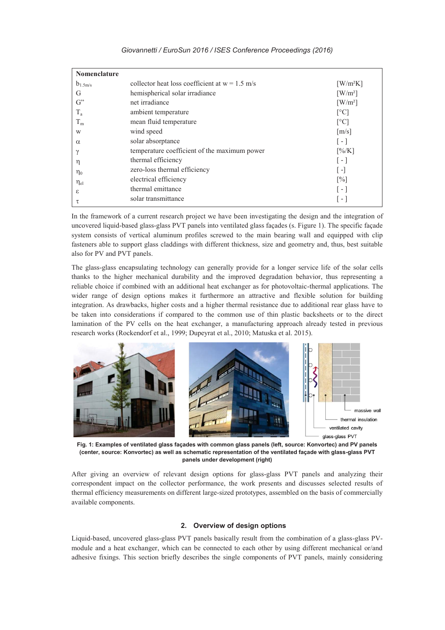| <b>Nomenclature</b> |                                                  |                                     |
|---------------------|--------------------------------------------------|-------------------------------------|
| $b_{1.5m/s}$        | collector heat loss coefficient at $w = 1.5$ m/s | $\left[\text{W/m}^2\text{K}\right]$ |
| G                   | hemispherical solar irradiance                   | $\left[\text{W/m}^2\right]$         |
| $G^"$               | net irradiance                                   | $\left\lceil W/m^2 \right\rceil$    |
| $T_{a}$             | ambient temperature                              | $\lceil$ °C]                        |
| $T_m$               | mean fluid temperature                           | $\lceil$ °C]                        |
| W                   | wind speed                                       | $\lceil m/s \rceil$                 |
| $\alpha$            | solar absorptance                                | $\lceil - \rceil$                   |
| $\gamma$            | temperature coefficient of the maximum power     | [%K]                                |
| η                   | thermal efficiency                               | $\lceil - \rceil$                   |
| $\eta_0$            | zero-loss thermal efficiency                     | l - l                               |
| $\eta_{el}$         | electrical efficiency                            | $\lceil\% \rceil$                   |
| ε                   | thermal emittance                                | l - I                               |
| τ                   | solar transmittance                              | l - I                               |

In the framework of a current research project we have been investigating the design and the integration of uncovered liquid-based glass-glass PVT panels into ventilated glass façades (s. Figure 1). The specific façade system consists of vertical aluminum profiles screwed to the main bearing wall and equipped with clip fasteners able to support glass claddings with different thickness, size and geometry and, thus, best suitable also for PV and PVT panels.

The glass-glass encapsulating technology can generally provide for a longer service life of the solar cells thanks to the higher mechanical durability and the improved degradation behavior, thus representing a reliable choice if combined with an additional heat exchanger as for photovoltaic-thermal applications. The wider range of design options makes it furthermore an attractive and flexible solution for building integration. As drawbacks, higher costs and a higher thermal resistance due to additional rear glass have to be taken into considerations if compared to the common use of thin plastic backsheets or to the direct lamination of the PV cells on the heat exchanger, a manufacturing approach already tested in previous research works (Rockendorf et al., 1999; Dupeyrat et al., 2010; Matuska et al. 2015).



**Fig. 1: Examples of ventilated glass façades with common glass panels (left, source: Konvortec) and PV panels (center, source: Konvortec) as well as schematic representation of the ventilated façade with glass-glass PVT panels under development (right)**

After giving an overview of relevant design options for glass-glass PVT panels and analyzing their correspondent impact on the collector performance, the work presents and discusses selected results of thermal efficiency measurements on different large-sized prototypes, assembled on the basis of commercially available components.

# **2. Overview of design options**

Liquid-based, uncovered glass-glass PVT panels basically result from the combination of a glass-glass PVmodule and a heat exchanger, which can be connected to each other by using different mechanical or/and adhesive fixings. This section briefly describes the single components of PVT panels, mainly considering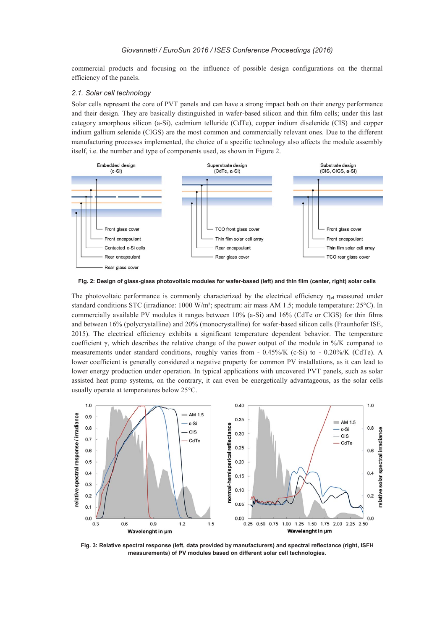commercial products and focusing on the influence of possible design configurations on the thermal efficiency of the panels.

#### *2.1. Solar cell technology*

Solar cells represent the core of PVT panels and can have a strong impact both on their energy performance and their design. They are basically distinguished in wafer-based silicon and thin film cells; under this last category amorphous silicon (a-Si), cadmium telluride (CdTe), copper indium diselenide (CIS) and copper indium gallium selenide (CIGS) are the most common and commercially relevant ones. Due to the different manufacturing processes implemented, the choice of a specific technology also affects the module assembly itself, i.e. the number and type of components used, as shown in Figure 2.



**Fig. 2: Design of glass-glass photovoltaic modules for wafer-based (left) and thin film (center, right) solar cells** 

The photovoltaic performance is commonly characterized by the electrical efficiency  $\eta_{el}$  measured under standard conditions STC (irradiance: 1000 W/m<sup>2</sup>; spectrum: air mass AM 1.5; module temperature: 25°C). In commercially available PV modules it ranges between 10% (a-Si) and 16% (CdTe or CIGS) for thin films and between 16% (polycrystalline) and 20% (monocrystalline) for wafer-based silicon cells (Fraunhofer ISE, 2015). The electrical efficiency exhibits a significant temperature dependent behavior. The temperature coefficient γ, which describes the relative change of the power output of the module in  $\frac{1}{\sqrt{K}}$  compared to measurements under standard conditions, roughly varies from - 0.45%/K (c-Si) to - 0.20%/K (CdTe). A lower coefficient is generally considered a negative property for common PV installations, as it can lead to lower energy production under operation. In typical applications with uncovered PVT panels, such as solar assisted heat pump systems, on the contrary, it can even be energetically advantageous, as the solar cells usually operate at temperatures below 25°C.



**Fig. 3: Relative spectral response (left, data provided by manufacturers) and spectral reflectance (right, ISFH measurements) of PV modules based on different solar cell technologies.**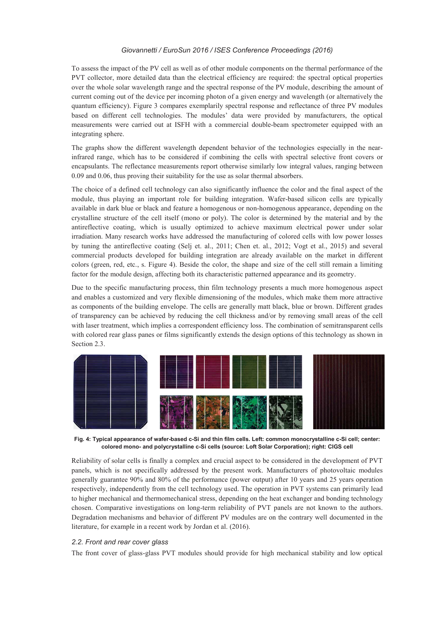To assess the impact of the PV cell as well as of other module components on the thermal performance of the PVT collector, more detailed data than the electrical efficiency are required: the spectral optical properties over the whole solar wavelength range and the spectral response of the PV module, describing the amount of current coming out of the device per incoming photon of a given energy and wavelength (or alternatively the quantum efficiency). Figure 3 compares exemplarily spectral response and reflectance of three PV modules based on different cell technologies. The modules' data were provided by manufacturers, the optical measurements were carried out at ISFH with a commercial double-beam spectrometer equipped with an integrating sphere.

The graphs show the different wavelength dependent behavior of the technologies especially in the nearinfrared range, which has to be considered if combining the cells with spectral selective front covers or encapsulants. The reflectance measurements report otherwise similarly low integral values, ranging between 0.09 and 0.06, thus proving their suitability for the use as solar thermal absorbers.

The choice of a defined cell technology can also significantly influence the color and the final aspect of the module, thus playing an important role for building integration. Wafer-based silicon cells are typically available in dark blue or black and feature a homogenous or non-homogenous appearance, depending on the crystalline structure of the cell itself (mono or poly). The color is determined by the material and by the antireflective coating, which is usually optimized to achieve maximum electrical power under solar irradiation. Many research works have addressed the manufacturing of colored cells with low power losses by tuning the antireflective coating (Selj et. al., 2011; Chen et. al., 2012; Vogt et al., 2015) and several commercial products developed for building integration are already available on the market in different colors (green, red, etc., s. Figure 4). Beside the color, the shape and size of the cell still remain a limiting factor for the module design, affecting both its characteristic patterned appearance and its geometry.

Due to the specific manufacturing process, thin film technology presents a much more homogenous aspect and enables a customized and very flexible dimensioning of the modules, which make them more attractive as components of the building envelope. The cells are generally matt black, blue or brown. Different grades of transparency can be achieved by reducing the cell thickness and/or by removing small areas of the cell with laser treatment, which implies a correspondent efficiency loss. The combination of semitransparent cells with colored rear glass panes or films significantly extends the design options of this technology as shown in Section 2.3.



**Fig. 4: Typical appearance of wafer-based c-Si and thin film cells. Left: common monocrystalline c-Si cell; center: colored mono- and polycrystalline c-Si cells (source: Loft Solar Corporation); right: CIGS cell** 

Reliability of solar cells is finally a complex and crucial aspect to be considered in the development of PVT panels, which is not specifically addressed by the present work. Manufacturers of photovoltaic modules generally guarantee 90% and 80% of the performance (power output) after 10 years and 25 years operation respectively, independently from the cell technology used. The operation in PVT systems can primarily lead to higher mechanical and thermomechanical stress, depending on the heat exchanger and bonding technology chosen. Comparative investigations on long-term reliability of PVT panels are not known to the authors. Degradation mechanisms and behavior of different PV modules are on the contrary well documented in the literature, for example in a recent work by Jordan et al. (2016).

#### *2.2. Front and rear cover glass*

The front cover of glass-glass PVT modules should provide for high mechanical stability and low optical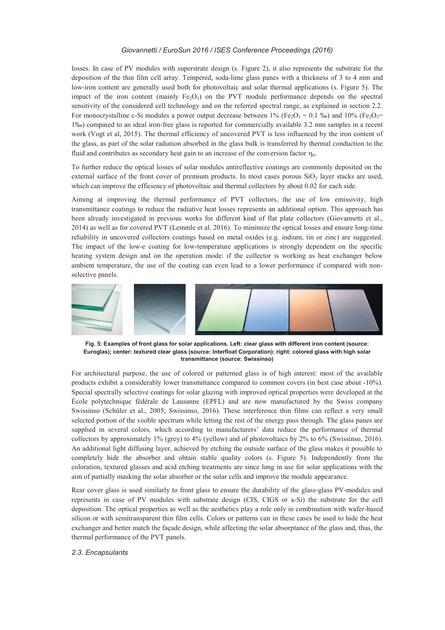losses. In case of PV modules with superstrate design (s. Figure 2), it also represents the substrate for the deposition of the thin film cell array. Tempered, soda-lime glass panes with a thickness of 3 to 4 mm and low-iron content are generally used both for photovoltaic and solar thermal applications (s. Figure 5). The impact of the iron content (mainly  $Fe_2O_3$ ) on the PVT module performance depends on the spectral sensitivity of the considered cell technology and on the referred spectral range, as explained in section 2.2. For monocrystalline c-Si modules a power output decrease between 1% (Fe<sub>2</sub>O<sub>3</sub> = 0.1 %) and 10% (Fe<sub>2</sub>O<sub>3</sub> = 1‰) compared to an ideal iron-free glass is reported for commercially available 3.2 mm samples in a recent work (Vogt et al, 2015). The thermal efficiency of uncovered PVT is less influenced by the iron content of the glass, as part of the solar radiation absorbed in the glass bulk is transferred by thermal conduction to the fluid and contributes as secondary heat gain to an increase of the conversion factor  $\eta_0$ .

To further reduce the optical losses of solar modules antireflective coatings are commonly deposited on the external surface of the front cover of premium products. In most cases porous  $SiO<sub>2</sub>$  layer stacks are used, which can improve the efficiency of photovoltaic and thermal collectors by about 0.02 for each side.

Aiming at improving the thermal performance of PVT collectors, the use of low emissivity, high transmittance coatings to reduce the radiative heat losses represents an additional option. This approach has been already investigated in previous works for different kind of flat plate collectors (Giovannetti et al., 2014) as well as for covered PVT (Lemmle et al. 2016). To minimize the optical losses and ensure long-time reliability in uncovered collectors coatings based on metal oxides (e.g. indium, tin or zinc) are suggested. The impact of the low-e coating for low-temperature applications is strongly dependent on the specific heating system design and on the operation mode: if the collector is working as heat exchanger below ambient temperature, the use of the coating can even lead to a lower performance if compared with nonselective panels.



**Fig. 5: Examples of front glass for solar applications. Left: clear glass with different iron content (source: Euroglas); center: textured clear glass (source: Interfloat Corporation); right: colored glass with high solar transmittance (source: Swissinso)** 

For architectural purpose, the use of colored or patterned glass is of high interest: most of the available products exhibit a considerably lower transmittance compared to common covers (in best case about -10%). Special spectrally selective coatings for solar glazing with improved optical properties were developed at the École polytechnique fédérale de Lausanne (EPFL) and are now manufactured by the Swiss company Swissinso (Schüler et al., 2005; Swissinso, 2016). These interference thin films can reflect a very small selected portion of the visible spectrum while letting the rest of the energy pass through. The glass panes are supplied in several colors, which according to manufacturers' data reduce the performance of thermal collectors by approximately 1% (grey) to 4% (yellow) and of photovoltaics by 2% to 6% (Swissinso, 2016). An additional light diffusing layer, achieved by etching the outside surface of the glass makes it possible to completely hide the absorber and obtain stable quality colors (s. Figure 5). Independently from the coloration, textured glasses and acid etching treatments are since long in use for solar applications with the aim of partially masking the solar absorber or the solar cells and improve the module appearance.

Rear cover glass is used similarly to front glass to ensure the durability of the glass-glass PV-modules and represents in case of PV modules with substrate design (CIS, CIGS or a-Si) the substrate for the cell deposition. The optical properties as well as the aesthetics play a role only in combination with wafer-based silicon or with semitransparent thin film cells. Colors or patterns can in these cases be used to hide the heat exchanger and better match the façade design, while affecting the solar absorptance of the glass and, thus, the thermal performance of the PVT panels.

# *2.3. Encapsulants*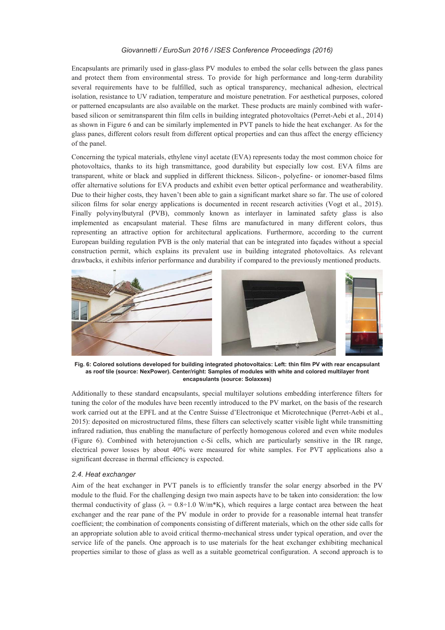Encapsulants are primarily used in glass-glass PV modules to embed the solar cells between the glass panes and protect them from environmental stress. To provide for high performance and long-term durability several requirements have to be fulfilled, such as optical transparency, mechanical adhesion, electrical isolation, resistance to UV radiation, temperature and moisture penetration. For aesthetical purposes, colored or patterned encapsulants are also available on the market. These products are mainly combined with waferbased silicon or semitransparent thin film cells in building integrated photovoltaics (Perret-Aebi et al., 2014) as shown in Figure 6 and can be similarly implemented in PVT panels to hide the heat exchanger. As for the glass panes, different colors result from different optical properties and can thus affect the energy efficiency of the panel.

Concerning the typical materials, ethylene vinyl acetate (EVA) represents today the most common choice for photovoltaics, thanks to its high transmittance, good durability but especially low cost. EVA films are transparent, white or black and supplied in different thickness. Silicon-, polyefine- or ionomer-based films offer alternative solutions for EVA products and exhibit even better optical performance and weatherability. Due to their higher costs, they haven't been able to gain a significant market share so far. The use of colored silicon films for solar energy applications is documented in recent research activities (Vogt et al., 2015). Finally polyvinylbutyral (PVB), commonly known as interlayer in laminated safety glass is also implemented as encapsulant material. These films are manufactured in many different colors, thus representing an attractive option for architectural applications. Furthermore, according to the current European building regulation PVB is the only material that can be integrated into façades without a special construction permit, which explains its prevalent use in building integrated photovoltaics. As relevant drawbacks, it exhibits inferior performance and durability if compared to the previously mentioned products.



**Fig. 6: Colored solutions developed for building integrated photovoltaics: Left: thin film PV with rear encapsulant as roof tile (source: NexPower). Center/right: Samples of modules with white and colored multilayer front encapsulants (source: Solaxxes)** 

Additionally to these standard encapsulants, special multilayer solutions embedding interference filters for tuning the color of the modules have been recently introduced to the PV market, on the basis of the research work carried out at the EPFL and at the Centre Suisse d'Electronique et Microtechnique (Perret-Aebi et al., 2015): deposited on microstructured films, these filters can selectively scatter visible light while transmitting infrared radiation, thus enabling the manufacture of perfectly homogenous colored and even white modules (Figure 6). Combined with heterojunction c-Si cells, which are particularly sensitive in the IR range, electrical power losses by about 40% were measured for white samples. For PVT applications also a significant decrease in thermal efficiency is expected.

#### *2.4. Heat exchanger*

Aim of the heat exchanger in PVT panels is to efficiently transfer the solar energy absorbed in the PV module to the fluid. For the challenging design two main aspects have to be taken into consideration: the low thermal conductivity of glass ( $\lambda = 0.8 \div 1.0 \text{ W/m*K}$ ), which requires a large contact area between the heat exchanger and the rear pane of the PV module in order to provide for a reasonable internal heat transfer coefficient; the combination of components consisting of different materials, which on the other side calls for an appropriate solution able to avoid critical thermo-mechanical stress under typical operation, and over the service life of the panels. One approach is to use materials for the heat exchanger exhibiting mechanical properties similar to those of glass as well as a suitable geometrical configuration. A second approach is to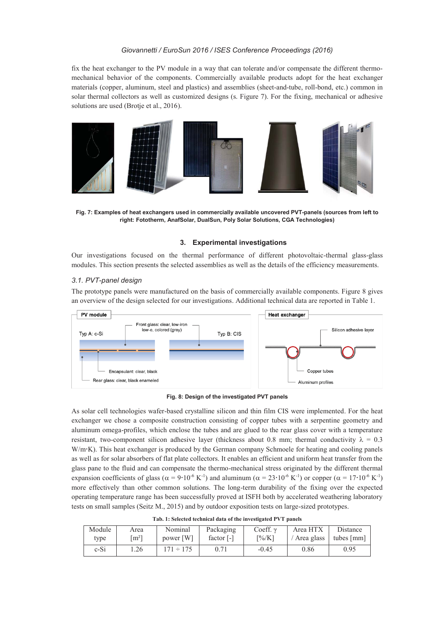fix the heat exchanger to the PV module in a way that can tolerate and/or compensate the different thermomechanical behavior of the components. Commercially available products adopt for the heat exchanger materials (copper, aluminum, steel and plastics) and assemblies (sheet-and-tube, roll-bond, etc.) common in solar thermal collectors as well as customized designs (s. Figure 7). For the fixing, mechanical or adhesive solutions are used (Brotje et al., 2016).



**Fig. 7: Examples of heat exchangers used in commercially available uncovered PVT-panels (sources from left to right: Fototherm, AnafSolar, DualSun, Poly Solar Solutions, CGA Technologies)** 

# **3. Experimental investigations**

Our investigations focused on the thermal performance of different photovoltaic-thermal glass-glass modules. This section presents the selected assemblies as well as the details of the efficiency measurements.

## *3.1. PVT-panel design*

Module type

The prototype panels were manufactured on the basis of commercially available components. Figure 8 gives an overview of the design selected for our investigations. Additional technical data are reported in Table 1.



**Fig. 8: Design of the investigated PVT panels** 

As solar cell technologies wafer-based crystalline silicon and thin film CIS were implemented. For the heat exchanger we chose a composite construction consisting of copper tubes with a serpentine geometry and aluminum omega-profiles, which enclose the tubes and are glued to the rear glass cover with a temperature resistant, two-component silicon adhesive layer (thickness about 0.8 mm; thermal conductivity  $\lambda = 0.3$ W/m·K). This heat exchanger is produced by the German company Schmoele for heating and cooling panels as well as for solar absorbers of flat plate collectors. It enables an efficient and uniform heat transfer from the glass pane to the fluid and can compensate the thermo-mechanical stress originated by the different thermal expansion coefficients of glass ( $\alpha = 9.10^{-6}$  K<sup>-1</sup>) and aluminum ( $\alpha = 23.10^{-6}$  K<sup>-1</sup>) or copper ( $\alpha = 17.10^{-6}$  K<sup>-1</sup>) more effectively than other common solutions. The long-term durability of the fixing over the expected operating temperature range has been successfully proved at ISFH both by accelerated weathering laboratory tests on small samples (Seitz M., 2015) and by outdoor exposition tests on large-sized prototypes.

| Tab. 1: Selected technical data of the investigated PVT panels |           |                          |                      |                                                |          |  |  |
|----------------------------------------------------------------|-----------|--------------------------|----------------------|------------------------------------------------|----------|--|--|
| Area                                                           | Nominal   | Packaging                | Coeff. $\gamma$      | Area HTX                                       | Distance |  |  |
| $\lceil m^2 \rceil$                                            | power [W] | factor $\lceil - \rceil$ | $\sqrt{\frac{6}{K}}$ | $\vert$ / Area glass $\vert$ tubes $\vert$ mm] |          |  |  |

c-Si |  $1.26$  |  $171 \div 175$  | 0.71 |  $-0.45$  | 0.86 | 0.95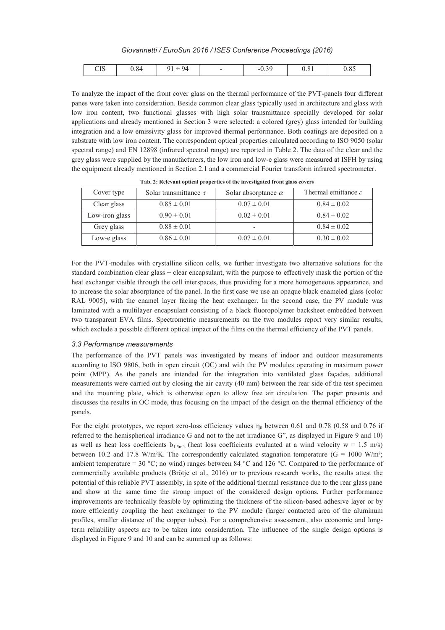*Giovannetti / EuroSun 2016 / ISES Conference Proceedings (2016)* 

| <b>ור</b><br>$_{0.84}$<br>$\Omega$<br>O <sub>4</sub><br>ЧΔ<br>$-0.5$ .<br>u<br>_<br>ပၤ၁<br>v.v.<br>v.v. |
|---------------------------------------------------------------------------------------------------------|
|---------------------------------------------------------------------------------------------------------|

To analyze the impact of the front cover glass on the thermal performance of the PVT-panels four different panes were taken into consideration. Beside common clear glass typically used in architecture and glass with low iron content, two functional glasses with high solar transmittance specially developed for solar applications and already mentioned in Section 3 were selected: a colored (grey) glass intended for building integration and a low emissivity glass for improved thermal performance. Both coatings are deposited on a substrate with low iron content. The correspondent optical properties calculated according to ISO 9050 (solar spectral range) and EN 12898 (infrared spectral range) are reported in Table 2. The data of the clear and the grey glass were supplied by the manufacturers, the low iron and low-e glass were measured at ISFH by using the equipment already mentioned in Section 2.1 and a commercial Fourier transform infrared spectrometer.

| Cover type     | Solar transmittance $\tau$ | Solar absorptance $\alpha$ | Thermal emittance $\varepsilon$ |
|----------------|----------------------------|----------------------------|---------------------------------|
| Clear glass    | $0.85 \pm 0.01$            | $0.07 \pm 0.01$            | $0.84 \pm 0.02$                 |
| Low-iron glass | $0.90 \pm 0.01$            | $0.02 \pm 0.01$            | $0.84 \pm 0.02$                 |
| Grey glass     | $0.88 \pm 0.01$            | $\overline{\phantom{a}}$   | $0.84 \pm 0.02$                 |
| Low-e glass    | $0.86 \pm 0.01$            | $0.07 \pm 0.01$            | $0.30 \pm 0.02$                 |

**Tab. 2: Relevant optical properties of the investigated front glass covers** 

For the PVT-modules with crystalline silicon cells, we further investigate two alternative solutions for the standard combination clear glass + clear encapsulant, with the purpose to effectively mask the portion of the heat exchanger visible through the cell interspaces, thus providing for a more homogeneous appearance, and to increase the solar absorptance of the panel. In the first case we use an opaque black enameled glass (color RAL 9005), with the enamel layer facing the heat exchanger. In the second case, the PV module was laminated with a multilayer encapsulant consisting of a black fluoropolymer backsheet embedded between two transparent EVA films. Spectrometric measurements on the two modules report very similar results, which exclude a possible different optical impact of the films on the thermal efficiency of the PVT panels.

#### *3.3 Performance measurements*

The performance of the PVT panels was investigated by means of indoor and outdoor measurements according to ISO 9806, both in open circuit (OC) and with the PV modules operating in maximum power point (MPP). As the panels are intended for the integration into ventilated glass façades, additional measurements were carried out by closing the air cavity (40 mm) between the rear side of the test specimen and the mounting plate, which is otherwise open to allow free air circulation. The paper presents and discusses the results in OC mode, thus focusing on the impact of the design on the thermal efficiency of the panels.

For the eight prototypes, we report zero-loss efficiency values  $\eta_0$  between 0.61 and 0.78 (0.58 and 0.76 if referred to the hemispherical irradiance G and not to the net irradiance G", as displayed in Figure 9 and 10) as well as heat loss coefficients b<sub>1.5m/s</sub> (heat loss coefficients evaluated at a wind velocity w = 1.5 m/s) between 10.2 and 17.8 W/m<sup>2</sup>K. The correspondently calculated stagnation temperature (G = 1000 W/m<sup>2</sup>; ambient temperature = 30 °C; no wind) ranges between 84 °C and 126 °C. Compared to the performance of commercially available products (Brötje et al., 2016) or to previous research works, the results attest the potential of this reliable PVT assembly, in spite of the additional thermal resistance due to the rear glass pane and show at the same time the strong impact of the considered design options. Further performance improvements are technically feasible by optimizing the thickness of the silicon-based adhesive layer or by more efficiently coupling the heat exchanger to the PV module (larger contacted area of the aluminum profiles, smaller distance of the copper tubes). For a comprehensive assessment, also economic and longterm reliability aspects are to be taken into consideration. The influence of the single design options is displayed in Figure 9 and 10 and can be summed up as follows: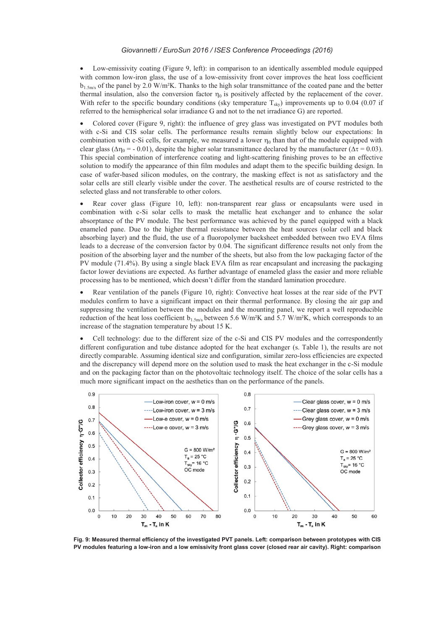Low-emissivity coating (Figure 9, left): in comparison to an identically assembled module equipped with common low-iron glass, the use of a low-emissivity front cover improves the heat loss coefficient  $b_1$ <sub>5m/s</sub> of the panel by 2.0 W/m<sup>2</sup>K. Thanks to the high solar transmittance of the coated pane and the better thermal insulation, also the conversion factor  $\eta_0$  is positively affected by the replacement of the cover. With refer to the specific boundary conditions (sky temperature  $T_{\text{sky}}$ ) improvements up to 0.04 (0.07 if referred to the hemispherical solar irradiance G and not to the net irradiance G) are reported.

• Colored cover (Figure 9, right): the influence of grey glass was investigated on PVT modules both with c-Si and CIS solar cells. The performance results remain slightly below our expectations: In combination with c-Si cells, for example, we measured a lower  $\eta_0$  than that of the module equipped with clear glass ( $\Delta \eta_0 = -0.01$ ), despite the higher solar transmittance declared by the manufacturer ( $\Delta \tau = 0.03$ ). This special combination of interference coating and light-scattering finishing proves to be an effective solution to modify the appearance of thin film modules and adapt them to the specific building design. In case of wafer-based silicon modules, on the contrary, the masking effect is not as satisfactory and the solar cells are still clearly visible under the cover. The aesthetical results are of course restricted to the selected glass and not transferable to other colors.

x Rear cover glass (Figure 10, left): non-transparent rear glass or encapsulants were used in combination with c-Si solar cells to mask the metallic heat exchanger and to enhance the solar absorptance of the PV module. The best performance was achieved by the panel equipped with a black enameled pane. Due to the higher thermal resistance between the heat sources (solar cell and black absorbing layer) and the fluid, the use of a fluoropolymer backsheet embedded between two EVA films leads to a decrease of the conversion factor by 0.04. The significant difference results not only from the position of the absorbing layer and the number of the sheets, but also from the low packaging factor of the PV module (71.4%). By using a single black EVA film as rear encapsulant and increasing the packaging factor lower deviations are expected. As further advantage of enameled glass the easier and more reliable processing has to be mentioned, which doesn't differ from the standard lamination procedure.

 $\bullet$  Rear ventilation of the panels (Figure 10, right): Convective heat losses at the rear side of the PVT modules confirm to have a significant impact on their thermal performance. By closing the air gap and suppressing the ventilation between the modules and the mounting panel, we report a well reproducible reduction of the heat loss coefficient b<sub>1.5m/s</sub> between 5.6 W/m<sup>2</sup>K and 5.7 W/m<sup>2</sup>K, which corresponds to an increase of the stagnation temperature by about 15 K.

Cell technology: due to the different size of the c-Si and CIS PV modules and the correspondently different configuration and tube distance adopted for the heat exchanger (s. Table 1), the results are not directly comparable. Assuming identical size and configuration, similar zero-loss efficiencies are expected and the discrepancy will depend more on the solution used to mask the heat exchanger in the c-Si module and on the packaging factor than on the photovoltaic technology itself. The choice of the solar cells has a much more significant impact on the aesthetics than on the performance of the panels.



**Fig. 9: Measured thermal efficiency of the investigated PVT panels. Left: comparison between prototypes with CIS PV modules featuring a low-iron and a low emissivity front glass cover (closed rear air cavity). Right: comparison**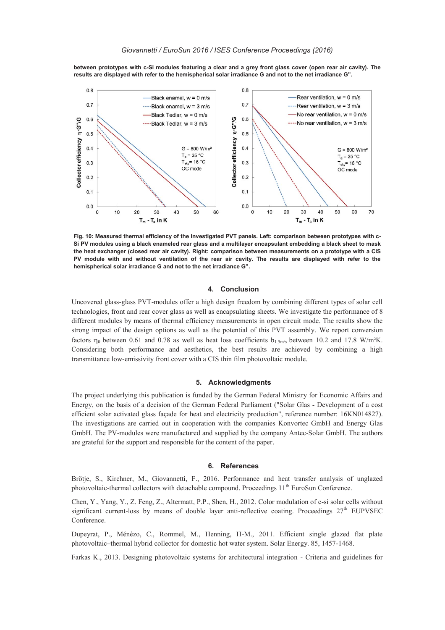**between prototypes with c-Si modules featuring a clear and a grey front glass cover (open rear air cavity). The results are displayed with refer to the hemispherical solar irradiance G and not to the net irradiance G".** 



**Fig. 10: Measured thermal efficiency of the investigated PVT panels. Left: comparison between prototypes with c-Si PV modules using a black enameled rear glass and a multilayer encapsulant embedding a black sheet to mask the heat exchanger (closed rear air cavity). Right: comparison between measurements on a prototype with a CIS PV module with and without ventilation of the rear air cavity. The results are displayed with refer to the hemispherical solar irradiance G and not to the net irradiance G".** 

#### **4. Conclusion**

Uncovered glass-glass PVT-modules offer a high design freedom by combining different types of solar cell technologies, front and rear cover glass as well as encapsulating sheets. We investigate the performance of 8 different modules by means of thermal efficiency measurements in open circuit mode. The results show the strong impact of the design options as well as the potential of this PVT assembly. We report conversion factors  $\eta_0$  between 0.61 and 0.78 as well as heat loss coefficients  $b_1$ <sub>5m/s</sub> between 10.2 and 17.8 W/m<sup>2</sup>K. Considering both performance and aesthetics, the best results are achieved by combining a high transmittance low-emissivity front cover with a CIS thin film photovoltaic module.

#### **5. Acknowledgments**

The project underlying this publication is funded by the German Federal Ministry for Economic Affairs and Energy, on the basis of a decision of the German Federal Parliament ("Solar Glas - Development of a cost efficient solar activated glass façade for heat and electricity production", reference number: 16KN014827). The investigations are carried out in cooperation with the companies Konvortec GmbH and Energy Glas GmbH. The PV-modules were manufactured and supplied by the company Antec-Solar GmbH. The authors are grateful for the support and responsible for the content of the paper.

#### **6. References**

Brötje, S., Kirchner, M., Giovannetti, F., 2016. Performance and heat transfer analysis of unglazed photovoltaic-thermal collectors with detachable compound. Proceedings  $11<sup>th</sup>$  EuroSun Conference.

Chen, Y., Yang, Y., Z. Feng, Z., Altermatt, P.P., Shen, H., 2012. Color modulation of c-si solar cells without significant current-loss by means of double layer anti-reflective coating. Proceedings 27<sup>th</sup> EUPVSEC Conference.

Dupeyrat, P., Ménézo, C., Rommel, M., Henning, H-M., 2011. Efficient single glazed flat plate photovoltaic–thermal hybrid collector for domestic hot water system. Solar Energy. 85, 1457-1468.

Farkas K., 2013. Designing photovoltaic systems for architectural integration - Criteria and guidelines for